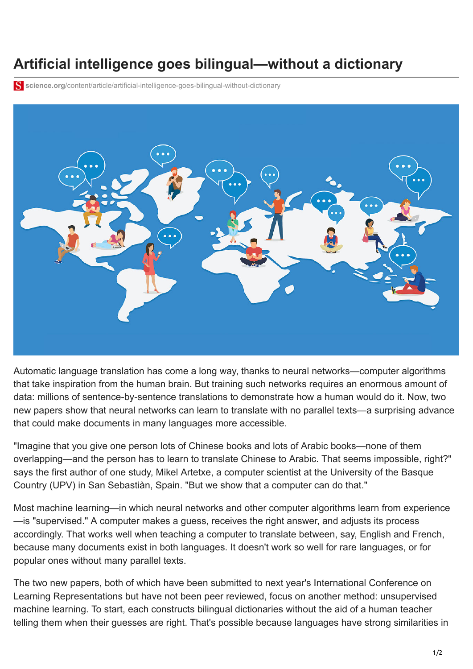## **Artificial intelligence goes bilingual—without a dictionary**

**science.org**[/content/article/artificial-intelligence-goes-bilingual-without-dictionary](https://www.science.org/content/article/artificial-intelligence-goes-bilingual-without-dictionary)



Automatic language translation has come a long way, thanks to [neural networks](http://www.sciencemag.org/news/2017/07/how-ai-detectives-are-cracking-open-black-box-deep-learning)—computer algorithms that take inspiration from the human brain. But training such networks requires an enormous amount of data: millions of sentence-by-sentence translations to demonstrate how a human would do it. Now, two new papers show that neural networks can learn to translate with no parallel texts—a surprising advance that could make documents in many languages more accessible.

"Imagine that you give one person lots of Chinese books and lots of Arabic books—none of them overlapping—and the person has to learn to translate Chinese to Arabic. That seems impossible, right?" says the first author of one study, Mikel Artetxe, a computer scientist at the University of the Basque Country (UPV) in San Sebastiàn, Spain. "But we show that a computer can do that."

Most machine learning—in which neural networks and other computer algorithms learn from experience —is "supervised." A computer makes a guess, receives the right answer, and adjusts its process accordingly. That works well when teaching a computer to translate between, say, English and French, because many documents exist in both languages. It doesn't work so well for rare languages, or for popular ones without many parallel texts.

The two new papers, both of which have been submitted to next year's International Conference on [Learning Representations but have not been peer reviewed, focus on another method: unsupervised](http://www.sciencemag.org/news/2017/09/what-artificial-brains-can-teach-us-about-how-our-real-brains-learn) machine learning. To start, each constructs bilingual dictionaries without the aid of a human teacher telling them when their guesses are right. That's possible because languages have strong similarities in